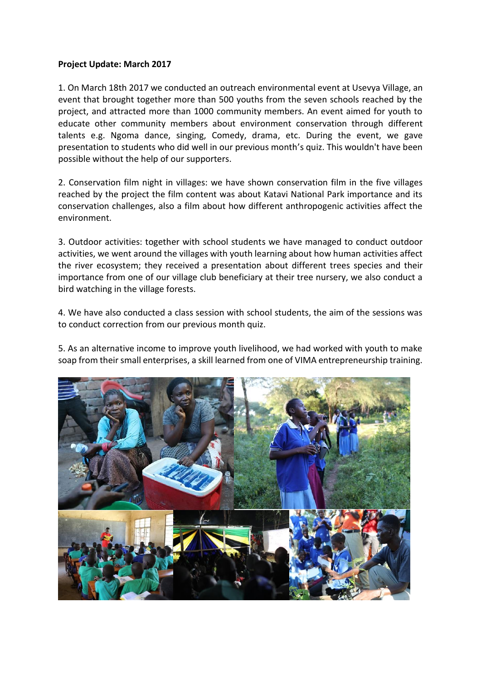## **Project Update: March 2017**

1. On March 18th 2017 we conducted an outreach environmental event at Usevya Village, an event that brought together more than 500 youths from the seven schools reached by the project, and attracted more than 1000 community members. An event aimed for youth to educate other community members about environment conservation through different talents e.g. Ngoma dance, singing, Comedy, drama, etc. During the event, we gave presentation to students who did well in our previous month's quiz. This wouldn't have been possible without the help of our supporters.

2. Conservation film night in villages: we have shown conservation film in the five villages reached by the project the film content was about Katavi National Park importance and its conservation challenges, also a film about how different anthropogenic activities affect the environment.

3. Outdoor activities: together with school students we have managed to conduct outdoor activities, we went around the villages with youth learning about how human activities affect the river ecosystem; they received a presentation about different trees species and their importance from one of our village club beneficiary at their tree nursery, we also conduct a bird watching in the village forests.

4. We have also conducted a class session with school students, the aim of the sessions was to conduct correction from our previous month quiz.

5. As an alternative income to improve youth livelihood, we had worked with youth to make soap from their small enterprises, a skill learned from one of VIMA entrepreneurship training.